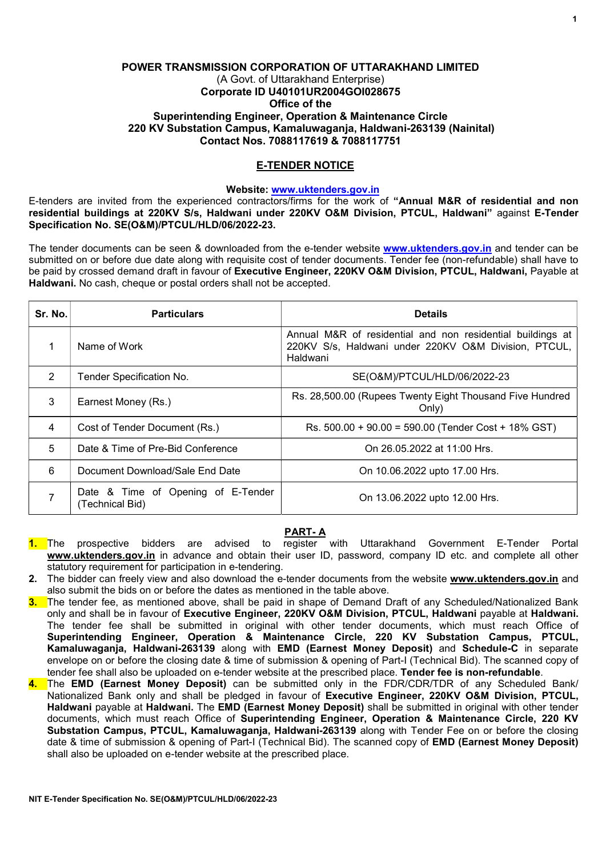## POWER TRANSMISSION CORPORATION OF UTTARAKHAND LIMITED (A Govt. of Uttarakhand Enterprise) Corporate ID U40101UR2004GOI028675 Office of the Superintending Engineer, Operation & Maintenance Circle 220 KV Substation Campus, Kamaluwaganja, Haldwani-263139 (Nainital) Contact Nos. 7088117619 & 7088117751

## E-TENDER NOTICE

### Website: www.uktenders.gov.in

E-tenders are invited from the experienced contractors/firms for the work of "Annual M&R of residential and non residential buildings at 220KV S/s, Haldwani under 220KV O&M Division, PTCUL, Haldwani" against E-Tender Specification No. SE(O&M)/PTCUL/HLD/06/2022-23.

The tender documents can be seen & downloaded from the e-tender website www.uktenders.gov.in and tender can be submitted on or before due date along with requisite cost of tender documents. Tender fee (non-refundable) shall have to be paid by crossed demand draft in favour of Executive Engineer, 220KV O&M Division, PTCUL, Haldwani, Payable at Haldwani. No cash, cheque or postal orders shall not be accepted.

| Sr. No.        | <b>Particulars</b>                                    | <b>Details</b>                                                                                                                 |
|----------------|-------------------------------------------------------|--------------------------------------------------------------------------------------------------------------------------------|
|                | Name of Work                                          | Annual M&R of residential and non residential buildings at<br>220KV S/s, Haldwani under 220KV O&M Division, PTCUL,<br>Haldwani |
| $\overline{2}$ | Tender Specification No.                              | SE(O&M)/PTCUL/HLD/06/2022-23                                                                                                   |
| 3              | Earnest Money (Rs.)                                   | Rs. 28,500.00 (Rupees Twenty Eight Thousand Five Hundred<br>Only)                                                              |
| 4              | Cost of Tender Document (Rs.)                         | Rs. 500.00 + 90.00 = 590.00 (Tender Cost + 18% GST)                                                                            |
| 5              | Date & Time of Pre-Bid Conference                     | On 26.05.2022 at 11:00 Hrs.                                                                                                    |
| 6              | Document Download/Sale End Date                       | On 10.06.2022 upto 17.00 Hrs.                                                                                                  |
|                | Date & Time of Opening of E-Tender<br>(Technical Bid) | On 13.06.2022 upto 12.00 Hrs.                                                                                                  |

# PART- A

- 1. The prospective bidders are advised to register with Uttarakhand Government E-Tender Portal www.uktenders.gov.in in advance and obtain their user ID, password, company ID etc. and complete all other statutory requirement for participation in e-tendering.
- 2. The bidder can freely view and also download the e-tender documents from the website www.uktenders.gov.in and also submit the bids on or before the dates as mentioned in the table above.
- 3. The tender fee, as mentioned above, shall be paid in shape of Demand Draft of any Scheduled/Nationalized Bank only and shall be in favour of Executive Engineer, 220KV O&M Division, PTCUL, Haldwani payable at Haldwani. The tender fee shall be submitted in original with other tender documents, which must reach Office of Superintending Engineer, Operation & Maintenance Circle, 220 KV Substation Campus, PTCUL, Kamaluwaganja, Haldwani-263139 along with EMD (Earnest Money Deposit) and Schedule-C in separate envelope on or before the closing date & time of submission & opening of Part-I (Technical Bid). The scanned copy of tender fee shall also be uploaded on e-tender website at the prescribed place. Tender fee is non-refundable.
- 4. The EMD (Earnest Money Deposit) can be submitted only in the FDR/CDR/TDR of any Scheduled Bank/ Nationalized Bank only and shall be pledged in favour of Executive Engineer, 220KV O&M Division, PTCUL, Haldwani payable at Haldwani. The EMD (Earnest Money Deposit) shall be submitted in original with other tender documents, which must reach Office of Superintending Engineer, Operation & Maintenance Circle, 220 KV Substation Campus, PTCUL, Kamaluwagania, Haldwani-263139 along with Tender Fee on or before the closing date & time of submission & opening of Part-I (Technical Bid). The scanned copy of EMD (Earnest Money Deposit) shall also be uploaded on e-tender website at the prescribed place.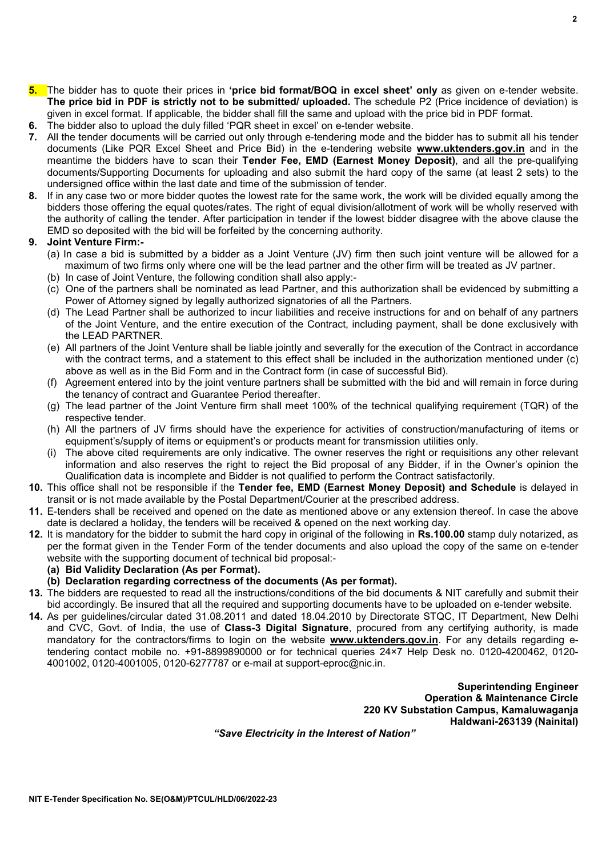$\overline{2}$ 

- 5. The bidder has to quote their prices in 'price bid format/BOQ in excel sheet' only as given on e-tender website. The price bid in PDF is strictly not to be submitted/ uploaded. The schedule P2 (Price incidence of deviation) is given in excel format. If applicable, the bidder shall fill the same and upload with the price bid in PDF format. 6. The bidder also to upload the duly filled 'PQR sheet in excel' on e-tender website.
- 
- 7. All the tender documents will be carried out only through e-tendering mode and the bidder has to submit all his tender documents (Like PQR Excel Sheet and Price Bid) in the e-tendering website **www.uktenders.gov.in** and in the meantime the bidders have to scan their Tender Fee, EMD (Earnest Money Deposit), and all the pre-qualifying documents/Supporting Documents for uploading and also submit the hard copy of the same (at least 2 sets) to the undersigned office within the last date and time of the submission of tender.
- 8. If in any case two or more bidder quotes the lowest rate for the same work, the work will be divided equally among the bidders those offering the equal quotes/rates. The right of equal division/allotment of work will be wholly reserved with the authority of calling the tender. After participation in tender if the lowest bidder disagree with the above clause the EMD so deposited with the bid will be forfeited by the concerning authority.

## 9. Joint Venture Firm:-

- (a) In case a bid is submitted by a bidder as a Joint Venture (JV) firm then such joint venture will be allowed for a maximum of two firms only where one will be the lead partner and the other firm will be treated as JV partner.
- (b) In case of Joint Venture, the following condition shall also apply:-
- (c) One of the partners shall be nominated as lead Partner, and this authorization shall be evidenced by submitting a Power of Attorney signed by legally authorized signatories of all the Partners.
- (d) The Lead Partner shall be authorized to incur liabilities and receive instructions for and on behalf of any partners of the Joint Venture, and the entire execution of the Contract, including payment, shall be done exclusively with the LEAD PARTNER.
- (e) All partners of the Joint Venture shall be liable jointly and severally for the execution of the Contract in accordance with the contract terms, and a statement to this effect shall be included in the authorization mentioned under (c) above as well as in the Bid Form and in the Contract form (in case of successful Bid).
- (f) Agreement entered into by the joint venture partners shall be submitted with the bid and will remain in force during the tenancy of contract and Guarantee Period thereafter.
- (g) The lead partner of the Joint Venture firm shall meet 100% of the technical qualifying requirement (TQR) of the respective tender.
- (h) All the partners of JV firms should have the experience for activities of construction/manufacturing of items or equipment's/supply of items or equipment's or products meant for transmission utilities only.
- (i) The above cited requirements are only indicative. The owner reserves the right or requisitions any other relevant information and also reserves the right to reject the Bid proposal of any Bidder, if in the Owner's opinion the Qualification data is incomplete and Bidder is not qualified to perform the Contract satisfactorily.
- 10. This office shall not be responsible if the Tender fee, EMD (Earnest Money Deposit) and Schedule is delayed in transit or is not made available by the Postal Department/Courier at the prescribed address.
- 11. E-tenders shall be received and opened on the date as mentioned above or any extension thereof. In case the above date is declared a holiday, the tenders will be received & opened on the next working day.
- 12. It is mandatory for the bidder to submit the hard copy in original of the following in Rs.100.00 stamp duly notarized, as per the format given in the Tender Form of the tender documents and also upload the copy of the same on e-tender website with the supporting document of technical bid proposal:-
	- (a) Bid Validity Declaration (As per Format).
	- (b) Declaration regarding correctness of the documents (As per format).
- 13. The bidders are requested to read all the instructions/conditions of the bid documents & NIT carefully and submit their bid accordingly. Be insured that all the required and supporting documents have to be uploaded on e-tender website.
- 14. As per guidelines/circular dated 31.08.2011 and dated 18.04.2010 by Directorate STQC, IT Department, New Delhi and CVC, Govt. of India, the use of Class-3 Digital Signature, procured from any certifying authority, is made mandatory for the contractors/firms to login on the website www.uktenders.gov.in. For any details regarding etendering contact mobile no. +91-8899890000 or for technical queries 24×7 Help Desk no. 0120-4200462, 0120- 4001002, 0120-4001005, 0120-6277787 or e-mail at support-eproc@nic.in.

Superintending Engineer Operation & Maintenance Circle 220 KV Substation Campus, Kamaluwaganja Haldwani-263139 (Nainital)

"Save Electricity in the Interest of Nation"